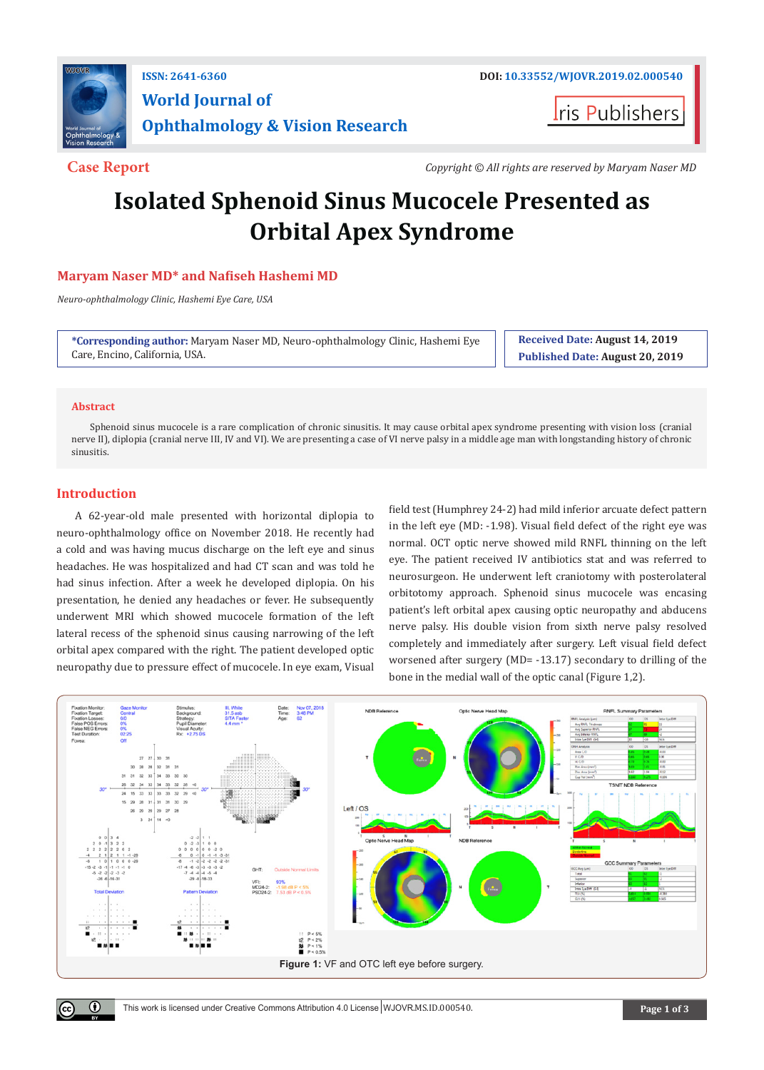

# **World Journal of Ophthalmology & Vision Research**

**Iris Publishers** 

**Case Report** *Copyright © All rights are reserved by Maryam Naser MD*

# **Isolated Sphenoid Sinus Mucocele Presented as Orbital Apex Syndrome**

# **Maryam Naser MD\* and Nafiseh Hashemi MD**

*Neuro-ophthalmology Clinic, Hashemi Eye Care, USA*

**\*Corresponding author:** Maryam Naser MD, Neuro-ophthalmology Clinic, Hashemi Eye Care, Encino, California, USA.

**Received Date: August 14, 2019 Published Date: August 20, 2019**

## **Abstract**

Sphenoid sinus mucocele is a rare complication of chronic sinusitis. It may cause orbital apex syndrome presenting with vision loss (cranial nerve II), diplopia (cranial nerve III, IV and VI). We are presenting a case of VI nerve palsy in a middle age man with longstanding history of chronic sinusitis.

# **Introduction**

 $\left( \cdot \right)$ 

A 62-year-old male presented with horizontal diplopia to neuro-ophthalmology office on November 2018. He recently had a cold and was having mucus discharge on the left eye and sinus headaches. He was hospitalized and had CT scan and was told he had sinus infection. After a week he developed diplopia. On his presentation, he denied any headaches or fever. He subsequently underwent MRI which showed mucocele formation of the left lateral recess of the sphenoid sinus causing narrowing of the left orbital apex compared with the right. The patient developed optic neuropathy due to pressure effect of mucocele. In eye exam, Visual

field test (Humphrey 24-2) had mild inferior arcuate defect pattern in the left eye (MD: -1.98). Visual field defect of the right eye was normal. OCT optic nerve showed mild RNFL thinning on the left eye. The patient received IV antibiotics stat and was referred to neurosurgeon. He underwent left craniotomy with posterolateral orbitotomy approach. Sphenoid sinus mucocele was encasing patient's left orbital apex causing optic neuropathy and abducens nerve palsy. His double vision from sixth nerve palsy resolved completely and immediately after surgery. Left visual field defect worsened after surgery (MD= -13.17) secondary to drilling of the bone in the medial wall of the optic canal (Figure 1,2).

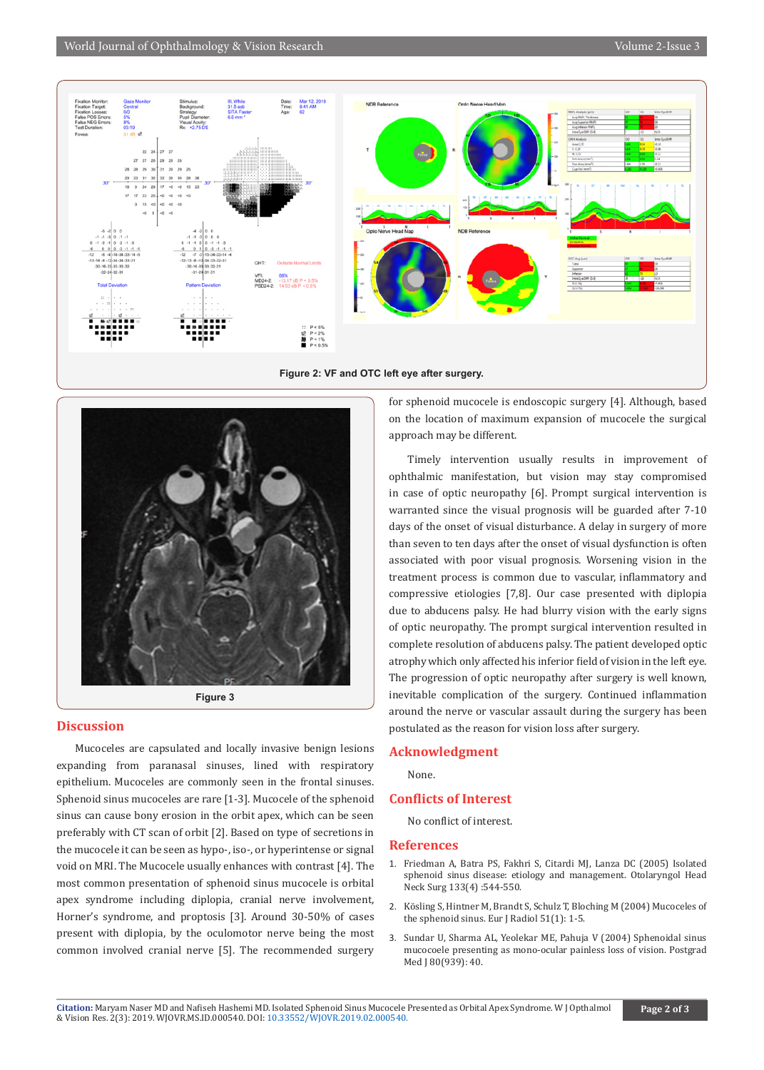





#### **Discussion**

Mucoceles are capsulated and locally invasive benign lesions expanding from paranasal sinuses, lined with respiratory epithelium. Mucoceles are commonly seen in the frontal sinuses. Sphenoid sinus mucoceles are rare [1-3]. Mucocele of the sphenoid sinus can cause bony erosion in the orbit apex, which can be seen preferably with CT scan of orbit [2]. Based on type of secretions in the mucocele it can be seen as hypo-, iso-, or hyperintense or signal void on MRI. The Mucocele usually enhances with contrast [4]. The most common presentation of sphenoid sinus mucocele is orbital apex syndrome including diplopia, cranial nerve involvement, Horner's syndrome, and proptosis [3]. Around 30-50% of cases present with diplopia, by the oculomotor nerve being the most common involved cranial nerve [5]. The recommended surgery

for sphenoid mucocele is endoscopic surgery [4]. Although, based on the location of maximum expansion of mucocele the surgical approach may be different.

Timely intervention usually results in improvement of ophthalmic manifestation, but vision may stay compromised in case of optic neuropathy [6]. Prompt surgical intervention is warranted since the visual prognosis will be guarded after 7-10 days of the onset of visual disturbance. A delay in surgery of more than seven to ten days after the onset of visual dysfunction is often associated with poor visual prognosis. Worsening vision in the treatment process is common due to vascular, inflammatory and compressive etiologies [7,8]. Our case presented with diplopia due to abducens palsy. He had blurry vision with the early signs of optic neuropathy. The prompt surgical intervention resulted in complete resolution of abducens palsy. The patient developed optic atrophy which only affected his inferior field of vision in the left eye. The progression of optic neuropathy after surgery is well known, inevitable complication of the surgery. Continued inflammation around the nerve or vascular assault during the surgery has been postulated as the reason for vision loss after surgery.

### **Acknowledgment**

None.

### **Conflicts of Interest**

No conflict of interest.

#### **References**

- 1. [Friedman A, Batra PS, Fakhri S, Citardi MJ, Lanza DC \(2005\) Isolated](https://www.ncbi.nlm.nih.gov/pubmed/16213927)  [sphenoid sinus disease: etiology and management. Otolaryngol Head](https://www.ncbi.nlm.nih.gov/pubmed/16213927)  [Neck Surg 133\(4\) :544-550.](https://www.ncbi.nlm.nih.gov/pubmed/16213927)
- 2. [Kösling S, Hintner M, Brandt S, Schulz T, Bloching M \(2004\) Mucoceles of](https://www.ncbi.nlm.nih.gov/pubmed/15186877)  [the sphenoid sinus. Eur J Radiol 51\(1\): 1-5.](https://www.ncbi.nlm.nih.gov/pubmed/15186877)
- 3. [Sundar U, Sharma AL, Yeolekar ME, Pahuja V \(2004\) Sphenoidal sinus](https://www.ncbi.nlm.nih.gov/pubmed/14760180)  [mucocoele presenting as mono-ocular painless loss of vision. Postgrad](https://www.ncbi.nlm.nih.gov/pubmed/14760180)  [Med J 80\(939\): 40.](https://www.ncbi.nlm.nih.gov/pubmed/14760180)